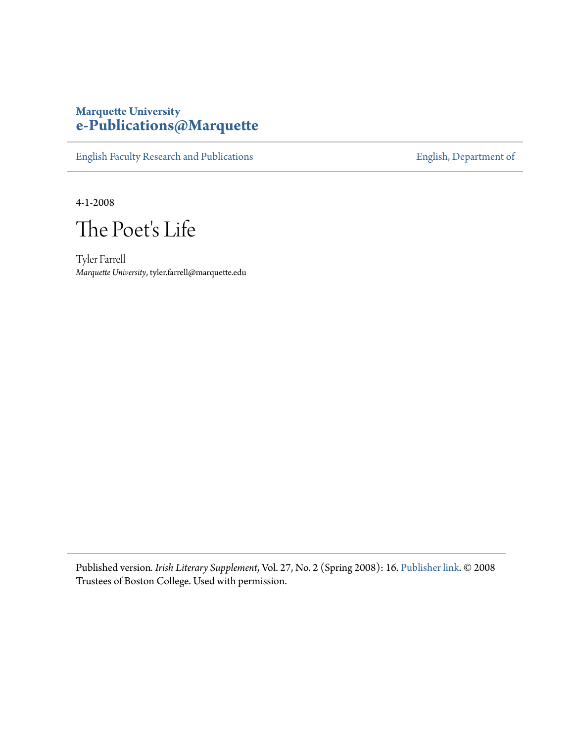## **Marquette University [e-Publications@Marquette](https://epublications.marquette.edu)**

[English Faculty Research and Publications](https://epublications.marquette.edu/english_fac) **[English, Department of](https://epublications.marquette.edu/english)** 

4-1-2008

The Poet's Life

Tyler Farrell *Marquette University*, tyler.farrell@marquette.edu

Published version*. Irish Literary Supplement*, Vol. 27, No. 2 (Spring 2008): 16. [Publisher link.](https://www.bc.edu/bc-web/centers/center-for-irish-programs.html) © 2008 Trustees of Boston College. Used with permission.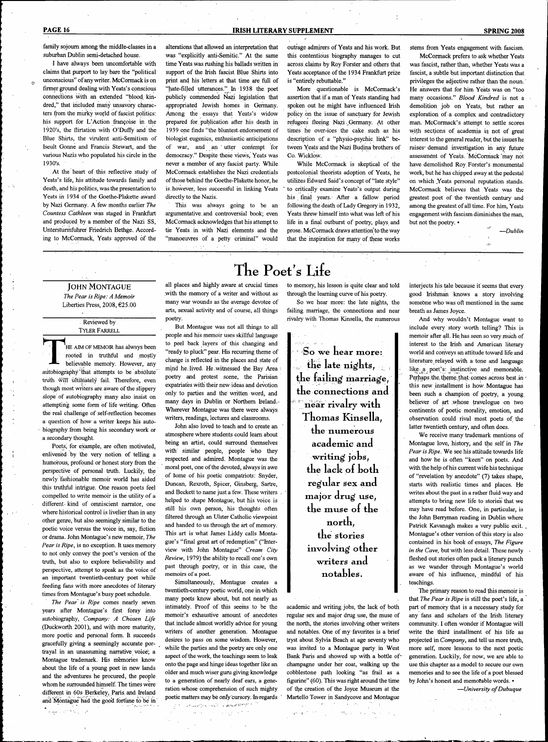family sojoum among the middle-classes in a suburban Dublin semi-detached house.

I have always been uncomfortable with claims that purport to lay bare the "political unconscious" of any writer. McCormack is on tirmer ground dealing with Yeats's conscious connections with an extended "blood kindred," that included many unsavory characters from the murky world of fascist politics: his support for L'Action francoise in the 1920's, the flirtation with O'Duffy and the Blue Shirts, the virulent anti-Semitism of Iseult Gonne and Francis Stewart, and the various Nazis who populated his circle in the 193O's.

At the heart of this reflective study of Yeats's life, his attitude towards family and death, and his politics, was the presentation to Yeats in 1934 of the Goethe-Plakette award by Nazi Germany. A few months earlier *the Countess Cathleen* was staged in Frankfurt and produced by a member of the Nazi SS, Untersturmfuhrer Friedrich Bethge. According to McCormack, Yeats approved of the

alterations that allowed an interpretation that was "explicitly anti-Semitic." At the same time Yeats was rushing his ballads written in support of the Irish fascist Blue Shirts into print and his letters at that time are full of "hate-filled utterances." In 1938 the poet publicly commended Nazi legislation that appropriated Jewish homes in Germany. Among the essays that Yeats's widow prepared for. publication after his death in 1939 one finds "the bluntest eridorsement of biologist eugenics, enthusiastic anticipations of war, and an ' utter contempt for democracy." Despite these views, Yeats was never a member of any fascist party. While McCormack establishes the Nazi credentials of those behind the Goethe-Plakette honor, he is.however, less successful in linking Yeats

directly to the Nazis. This was always going to be an argumentative, and controversial book; even McCormack acknowledges that his attempt to tie Yeats in with Nazi elements and the "manoeuvres of a petty criminal" would outrage admirers of Yeats and his work. But this contentious biography manages to cut across claims by Roy Forster and others that Yeats acceptance of the 1934 Frankfurt prize is "entirely rebuttable."

More questionable is McCormack's assertion that if a man of Yeats standing had spoken out he might have influenced Irish policy on the issue of sanctuary for Jewish refugees fleeing Nazi Germany. At other times he over-ices the cake such as his description of a "physio-psychic link" between Yeats and the Nazi Budina brothers of Co. Wicklow.

While McCormack is skeptical of the postcolonial theorists adoption of Yeats, he utilizes Edward Said's concept of "late style" to critically examine Yeats's output during his final years. After a fallow period following the death of Lady Gregory in 1932, Veats threw himself into what was left of his life in a final outburst of poetry, plays and prose. McCormack draws attention to the way that the inspiration for many of these works

#### **PAGE 16 IRISH LITERARY SUPPLEMENT IRISH LITERARY SUPPLEMENT SPRING 2008**

stems from Yeats engagement with fascism.

McCormack prefers to ask whether Yeats was fascist, rather than, whether Yeats was a fascist, a subtle but important distinction that privileges the adjective rather than the noun.' He answers that for him Yeats was on "too many occasions." *Blood Kindred* is not a demolition job on Yeats, but rather an exploration of a complex and contradictory man. McCormack's attempt to settle scores with sections of academia is not of great interest to the general reader, but the issues he raises demand investigation in any future assessment of Yeats. McCormack "may not have demolished Roy Forster's monumental work, but he has chipped away at the pedestal on which .Yeats personal reputation stands. McCormack believes that Yeats was the greatest poet of the twentieth century and among the greatest of all time. For him, Yeats engagement with fascism diminishes the man, but not the poetry. •

 $\ddot{\mathbf{a}}$ 

*—Dublin*

### JOHN MONTAGUE

*The Pear is Ripe: A Memoir* Liberties Press, 2008, €25.00

#### Reviewed by TYLER FARRELL

'HE AIM OF MEMOIR has always been rooted in truthful and mostly believable memory. However, any autobiography that attempts to be absolute truth will' ultimately fail. Therefore, even though most writers are aware of the slippery slope of autobiography many also insist on attempting some form of life writing. Often the real challenge of self-reflection becomes a question of how a writer keeps his autobiography from being his secondary work or a secondary thought.

Poets, for example, are often motivated, enlivened by the very notion of telling a humorous, profound or honest story from the perspective of personal truth. Luckily, the newly fashionable memoir world has aided this truthful intrigue. One reason poets teel compelled to write memoir is the utility of a different kind of omniscient narrator, one where historical control is livelier than in any other genre, but also seemingly similar to the poetic voice versus the voice in, say, fiction or drama. John Montague's new memoir. *The Pear is Ripe,* is no exception. It uses memory to not only convey the poet's version of the truth, but also to explore believability and perspective, attempt to speak as the voice of an important twentieth-century poet while feeding fans with more anecdotes of literary times from Montague's busy poet schedule.

*The Pear' is Ripe* comes nearly seven years after Montague's first foray into autobiography. *Company: A Chosen Life* (Duckworth 2001), and with more maturity, more poetic and personal form. It succeeds gracefully giving a seemingly accurate portrayal in an unassuming narrative voice; a Montague trademark. His memories know about the life of a young poet in new lands and the adventures he procured, the people whom he surrounded himself. The times were different in 60s Berkeley, Paris, and. Ireland and Montague had the good fortune to be in الموارد والأقالات والمهرجان

 $\Delta$ 

# The Poet's Life

all places and highly aware at crucial times .with the memory of a writer and without as many war wounds as the average devotee of arts, sexual activity and of course, all things poetry.

But Montague was not all things to all people and his memoir uses skillful language to peel back layers of this changing and "ready to pluck" pear. His recurring theme of change is reflected in the places and state of mind heilived. He .witnessed the Bay Area • poetry and protest scene, the Parisian expatriates with their new ideas and devotion only to parties and the written word, and many days in Dublin or Northern Ireland. Wherever Montague was there were always writers, readings, lectures and classrooms.

John also loved to teach and to create an ' atmosphere where students could leam about being an artist, could surround themselves with' similar people, people who they respected and admired. Montague was the moral poet, one of the devoted, always in awe of Some of his poetic compatriots: Snyder, Duncan, Rexroth, Spicer, Ginsberg, Sartre, and Beckett to name just a few. These writers helped to shape Montague, but his voice is still his own person, his thoughts often filtered through an Ulster Catholic viewpoint and handed to us through the art of memory. This art is what James Liddy calls Montague's "final great art of redemption" ("Interview with John Montague" *Cream City Review,* 1979) the ability to recall one's own past through .poetry, or in this case, the memoirs of a poet.

Simultaneously, Montague creates a twentieth-century poetic world, one in which many poets know about, but not nearly as intimately. Proof of this seerns to be the memoir's exhaustive amount of anecdotes that include almost worldly advice for young writers of another generation. Montague desires to pass on some wisdom. However, while the parties and the poetry are only one aspect of the work, the teachings seem to leak onto the page and hinge ideas together like an older and much wiser guru giving knowledge to a generation of nearly deaf ears, a generation whose comprehension of such mighty poetic matters may be only cursory. In regards

The contained excellent complex distribution  $\label{eq:3.1} \mathcal{L}(\mathbf{A}) = \mathcal{L}(\mathbf{A}) \mathcal{L}(\mathbf{A}) = \mathcal{L}(\mathbf{A}) \mathcal{L}(\mathbf{A}) \mathcal{L}(\mathbf{A}) \mathcal{L}(\mathbf{A}) \mathcal{L}(\mathbf{A})$  $\sim 10^{-1}$  $\mathcal{L}^{\mathcal{A}}$  $\frac{1}{2} \frac{d^2}{dt^2} \frac{d^2}{dt^2}$  $\sim 10^{-10}$ 

## to memory, his lesson is quite clear and told through the leaming curve of his poetry.

So we hear more: the late nights, the failing marriage, the connections and near rivalry with Thomas Kinsella, the numerous

So we hear more: the late nights, the failing marriage, the connections and near rivalry witk Tkomas Kinsella, the numerous academic and writing jobs, the lack of both regular sex and major drug use, the muse of the north, the stories involving other writers and notables.

academic and writing jobs, the lack of both regular sex and major drug use, the muse of the north, the stories involving other writers and notables. One of my favorites is a brief tryst about Sylvia Beach at age seventy who was invited to a Montague party in West Bank Paris and showed up with a bottle ofchampagne under her coat, walking up the cobblestone path looking "as frail as a figurine" (60). This was right around the time of the creation of the Joyce Museum at the Marteilo Tower in Sandycove and Montague  $\mathcal{L}_{\text{max}}$  , where  $\mathcal{L}_{\text{max}}$  , where  $\mathcal{L}_{\text{max}}$ 

 $\label{eq:QCD} Q^{\mu\nu} \partial_\nu^{\nu\alpha} \partial_\nu^{\nu\alpha} \partial_\nu^{\nu\alpha} \partial_\nu^{\nu\alpha} \partial_\nu^{\nu\alpha} \partial_\nu^{\nu\alpha} \partial_\nu^{\nu\alpha} \partial_\nu^{\nu\alpha} \partial_\nu^{\nu\alpha} \partial_\nu^{\nu\alpha} \partial_\nu^{\nu\alpha} \partial_\nu^{\nu\alpha} \partial_\nu^{\nu\alpha} \partial_\nu^{\nu\alpha} \partial_\nu^{\nu\alpha} \partial_\nu^{\nu\alpha} \partial_\nu^{\nu\alpha} \partial_\nu^{\nu\alpha} \partial_\nu^{\nu\alpha} \partial_\nu^{\nu\alpha} \partial_\nu^$ 

interjects his tale because it seems that every good Irishman knows a story involving somebne who was oft mentioned in the same breath as James Joyce.

And why wouldn't Montague want to include every story worth telling? This is memoir after all. He,has seen so very muich of interest to the Irish and American literary world and conveys an attitude toward life and literature relayed with a tone and language like- a poet's: instinctive and memorable. Perhaps the theme that comes across best in this new installment is how.Montague has been such a champion of poetry, a young believer of art whose travelogue on two continents of poetic morality, emotion, and observation could rival most poets of the latter twentieth century, and often does.

We receive many trademark mentions of Montague love, history, and the self in *The Pear is Ripe.* We see his attitude towards life and how he is often "keen" on poets. And with the help of his current wife his technique of "revelation by anecdote" (7) takes shape, starts with realistic times and places. He writes about the past in a rather fluid way and attempts to bring new life to stories that we may have read before. One, in particular, is the John Berryman reading in Dublin where Patrick Kavanagh makes a very public exit. Montague's other version of this story is also contained in his book of essays. *The Figure in the Cave,* but with less detail. These newly fleshed out stories often pack a literary punch as we wander through Montague's world aware of his influence, mindful of his teachings.

The primary reason to read this memoir is that *The Pear is Ripe* is still the poet's life, a part of memory that is a necessary study for any fans and scholars of the Irish literary community. I often wonder if Montague will write the third installment of his life as projected in *Company,* and tell us more truth, more self, more lessons to the next poetic generation. Luckily, for now, we are able to use this chapter as a model to secure our own memories and to see the life of a poet blessed by John's honest and memorable words. •

—*University ofDubuque*

 $\lambda_{\rm{max}}$  and  $\mathcal{L}_{\mathbf{a}}$  , we obtain a set of  $\mathcal{L}_{\mathbf{a}}$  ,  $\mathcal{L}_{\mathbf{a}}$ 

 $\sqrt{2}$